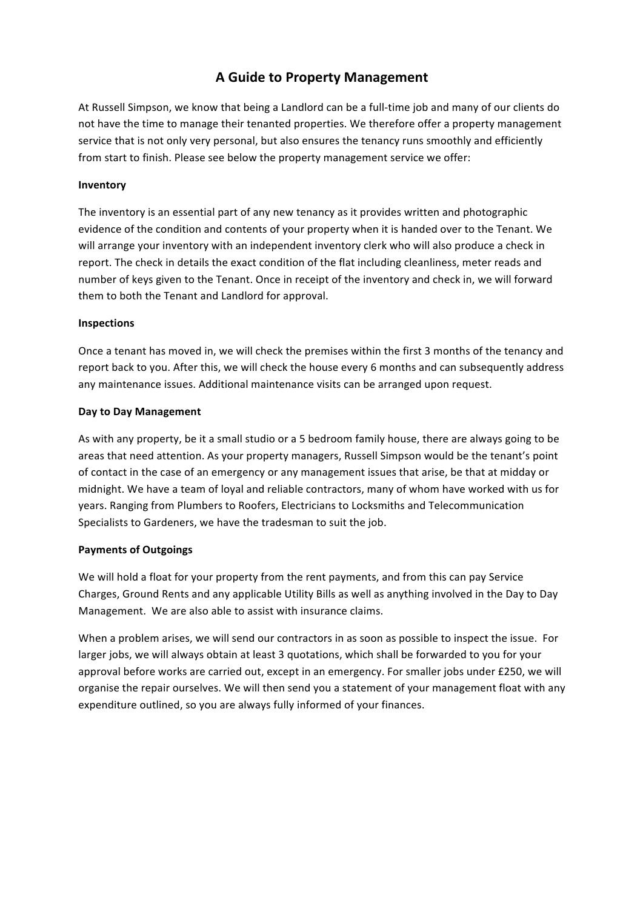# **A Guide to Property Management**

At Russell Simpson, we know that being a Landlord can be a full-time job and many of our clients do not have the time to manage their tenanted properties. We therefore offer a property management service that is not only very personal, but also ensures the tenancy runs smoothly and efficiently from start to finish. Please see below the property management service we offer:

### **Inventory**

The inventory is an essential part of any new tenancy as it provides written and photographic evidence of the condition and contents of your property when it is handed over to the Tenant. We will arrange your inventory with an independent inventory clerk who will also produce a check in report. The check in details the exact condition of the flat including cleanliness, meter reads and number of keys given to the Tenant. Once in receipt of the inventory and check in, we will forward them to both the Tenant and Landlord for approval.

#### **Inspections**

Once a tenant has moved in, we will check the premises within the first 3 months of the tenancy and report back to you. After this, we will check the house every 6 months and can subsequently address any maintenance issues. Additional maintenance visits can be arranged upon request.

## **Day to Day Management**

As with any property, be it a small studio or a 5 bedroom family house, there are always going to be areas that need attention. As your property managers, Russell Simpson would be the tenant's point of contact in the case of an emergency or any management issues that arise, be that at midday or midnight. We have a team of loyal and reliable contractors, many of whom have worked with us for years. Ranging from Plumbers to Roofers, Electricians to Locksmiths and Telecommunication Specialists to Gardeners, we have the tradesman to suit the job.

# **Payments of Outgoings**

We will hold a float for your property from the rent payments, and from this can pay Service Charges, Ground Rents and any applicable Utility Bills as well as anything involved in the Day to Day Management. We are also able to assist with insurance claims.

When a problem arises, we will send our contractors in as soon as possible to inspect the issue. For larger jobs, we will always obtain at least 3 quotations, which shall be forwarded to you for your approval before works are carried out, except in an emergency. For smaller jobs under £250, we will organise the repair ourselves. We will then send you a statement of your management float with any expenditure outlined, so you are always fully informed of your finances.